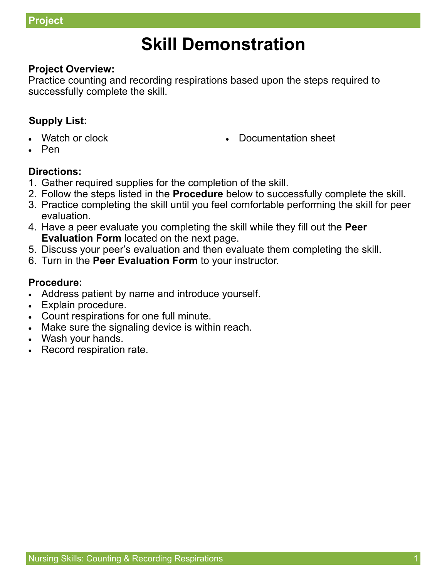# **Skill Demonstration**

# **Project Overview:**

Practice counting and recording respirations based upon the steps required to successfully complete the skill.

# **Supply List:**

Watch or clock

Documentation sheet

Pen

#### **Directions:**

- 1. Gather required supplies for the completion of the skill.
- 2. Follow the steps listed in the **Procedure** below to successfully complete the skill.
- 3. Practice completing the skill until you feel comfortable performing the skill for peer evaluation.
- 4. Have a peer evaluate you completing the skill while they fill out the **Peer Evaluation Form** located on the next page.
- 5. Discuss your peer's evaluation and then evaluate them completing the skill.
- 6. Turn in the **Peer Evaluation Form** to your instructor.

### **Procedure:**

- Address patient by name and introduce yourself.
- Explain procedure.
- Count respirations for one full minute.
- Make sure the signaling device is within reach.
- Wash your hands.
- Record respiration rate.